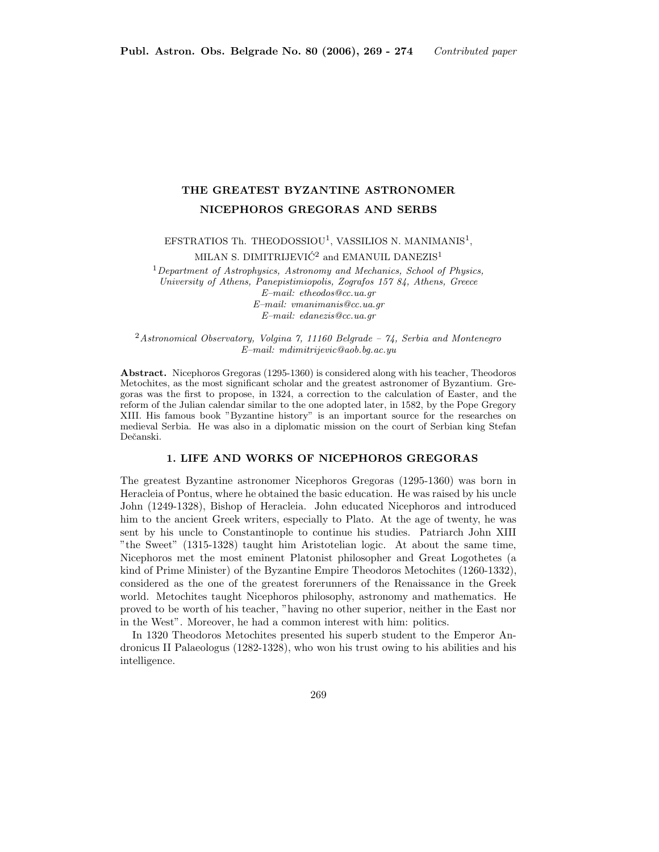## THE GREATEST BYZANTINE ASTRONOMER NICEPHOROS GREGORAS AND SERBS

EFSTRATIOS Th. THEODOSSIOU<sup>1</sup>, VASSILIOS N. MANIMANIS<sup>1</sup>,

MILAN S. DIMITRIJEVIĆ $^2$  and EMANUIL DANEZIS  $^1$ 

 $1$ Department of Astrophysics, Astronomy and Mechanics, School of Physics, University of Athens, Panepistimiopolis, Zografos 157 84, Athens, Greece E–mail: etheodos@cc.ua.gr E–mail: vmanimanis@cc.ua.gr E–mail: edanezis@cc.ua.gr

<sup>2</sup>Astronomical Observatory, Volgina 7, 11160 Belgrade – 74, Serbia and Montenegro E–mail: mdimitrijevic@aob.bg.ac.yu

Abstract. Nicephoros Gregoras (1295-1360) is considered along with his teacher, Theodoros Metochites, as the most significant scholar and the greatest astronomer of Byzantium. Gregoras was the first to propose, in 1324, a correction to the calculation of Easter, and the reform of the Julian calendar similar to the one adopted later, in 1582, by the Pope Gregory XIII. His famous book "Byzantine history" is an important source for the researches on medieval Serbia. He was also in a diplomatic mission on the court of Serbian king Stefan Dečanski.

## 1. LIFE AND WORKS OF NICEPHOROS GREGORAS

The greatest Byzantine astronomer Nicephoros Gregoras (1295-1360) was born in Heracleia of Pontus, where he obtained the basic education. He was raised by his uncle John (1249-1328), Bishop of Heracleia. John educated Nicephoros and introduced him to the ancient Greek writers, especially to Plato. At the age of twenty, he was sent by his uncle to Constantinople to continue his studies. Patriarch John XIII "the Sweet" (1315-1328) taught him Aristotelian logic. At about the same time, Nicephoros met the most eminent Platonist philosopher and Great Logothetes (a kind of Prime Minister) of the Byzantine Empire Theodoros Metochites (1260-1332), considered as the one of the greatest forerunners of the Renaissance in the Greek world. Metochites taught Nicephoros philosophy, astronomy and mathematics. He proved to be worth of his teacher, "having no other superior, neither in the East nor in the West". Moreover, he had a common interest with him: politics.

In 1320 Theodoros Metochites presented his superb student to the Emperor Andronicus II Palaeologus (1282-1328), who won his trust owing to his abilities and his intelligence.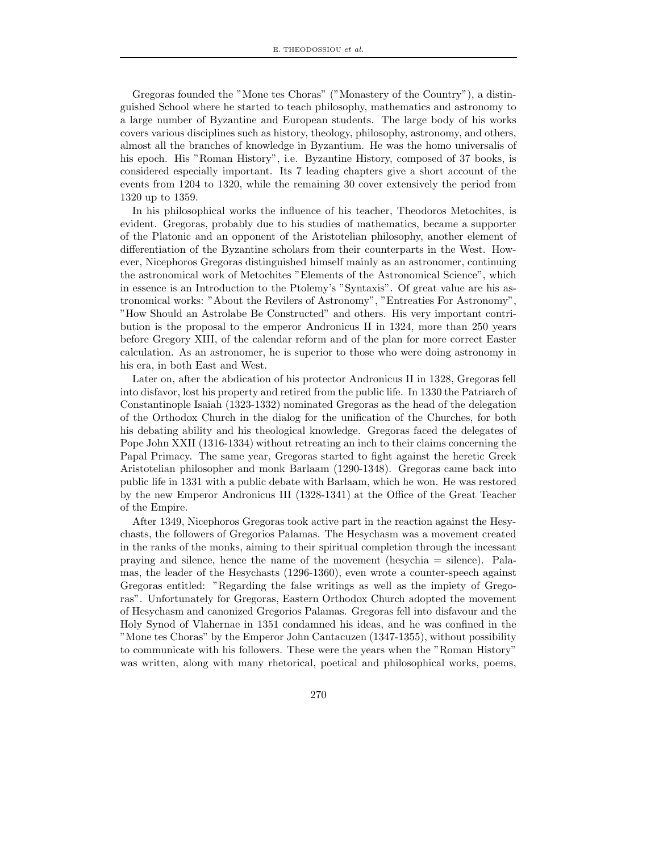Gregoras founded the "Mone tes Choras" ("Monastery of the Country"), a distinguished School where he started to teach philosophy, mathematics and astronomy to a large number of Byzantine and European students. The large body of his works covers various disciplines such as history, theology, philosophy, astronomy, and others, almost all the branches of knowledge in Byzantium. He was the homo universalis of his epoch. His "Roman History", i.e. Byzantine History, composed of 37 books, is considered especially important. Its 7 leading chapters give a short account of the events from 1204 to 1320, while the remaining 30 cover extensively the period from 1320 up to 1359.

In his philosophical works the influence of his teacher, Theodoros Metochites, is evident. Gregoras, probably due to his studies of mathematics, became a supporter of the Platonic and an opponent of the Aristotelian philosophy, another element of differentiation of the Byzantine scholars from their counterparts in the West. However, Nicephoros Gregoras distinguished himself mainly as an astronomer, continuing the astronomical work of Metochites "Elements of the Astronomical Science", which in essence is an Introduction to the Ptolemy's "Syntaxis". Of great value are his astronomical works: "About the Revilers of Astronomy", "Entreaties For Astronomy", "How Should an Astrolabe Be Constructed" and others. His very important contribution is the proposal to the emperor Andronicus II in 1324, more than 250 years before Gregory XIII, of the calendar reform and of the plan for more correct Easter calculation. As an astronomer, he is superior to those who were doing astronomy in his era, in both East and West.

Later on, after the abdication of his protector Andronicus II in 1328, Gregoras fell into disfavor, lost his property and retired from the public life. In 1330 the Patriarch of Constantinople Isaiah (1323-1332) nominated Gregoras as the head of the delegation of the Orthodox Church in the dialog for the unification of the Churches, for both his debating ability and his theological knowledge. Gregoras faced the delegates of Pope John XXII (1316-1334) without retreating an inch to their claims concerning the Papal Primacy. The same year, Gregoras started to fight against the heretic Greek Aristotelian philosopher and monk Barlaam (1290-1348). Gregoras came back into public life in 1331 with a public debate with Barlaam, which he won. He was restored by the new Emperor Andronicus III (1328-1341) at the Office of the Great Teacher of the Empire.

After 1349, Nicephoros Gregoras took active part in the reaction against the Hesychasts, the followers of Gregorios Palamas. The Hesychasm was a movement created in the ranks of the monks, aiming to their spiritual completion through the incessant praying and silence, hence the name of the movement (hesychia = silence). Palamas, the leader of the Hesychasts (1296-1360), even wrote a counter-speech against Gregoras entitled: "Regarding the false writings as well as the impiety of Gregoras". Unfortunately for Gregoras, Eastern Orthodox Church adopted the movement of Hesychasm and canonized Gregorios Palamas. Gregoras fell into disfavour and the Holy Synod of Vlahernae in 1351 condamned his ideas, and he was confined in the "Mone tes Choras" by the Emperor John Cantacuzen (1347-1355), without possibility to communicate with his followers. These were the years when the "Roman History" was written, along with many rhetorical, poetical and philosophical works, poems,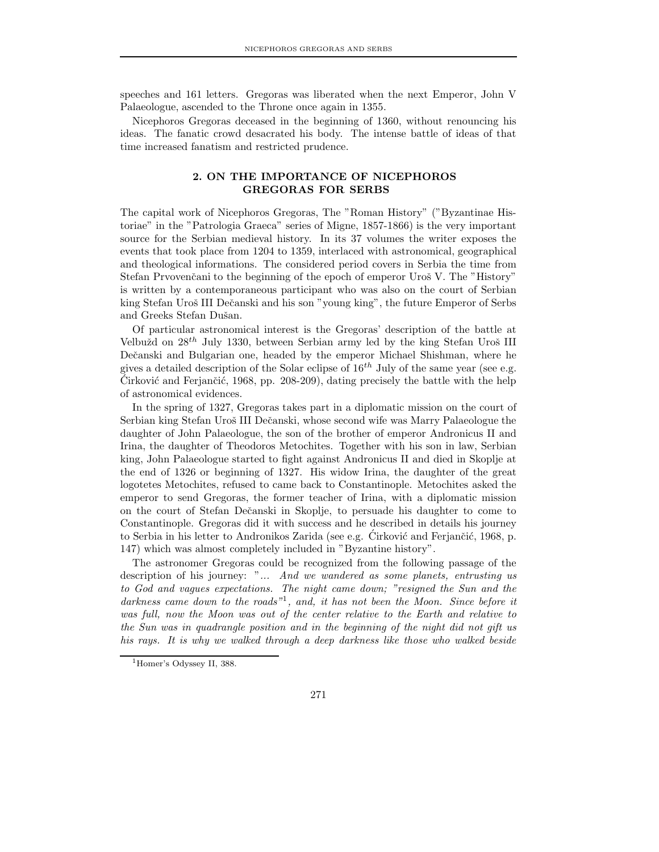speeches and 161 letters. Gregoras was liberated when the next Emperor, John V Palaeologue, ascended to the Throne once again in 1355.

Nicephoros Gregoras deceased in the beginning of 1360, without renouncing his ideas. The fanatic crowd desacrated his body. The intense battle of ideas of that time increased fanatism and restricted prudence.

## 2. ON THE IMPORTANCE OF NICEPHOROS GREGORAS FOR SERBS

The capital work of Nicephoros Gregoras, The "Roman History" ("Byzantinae Historiae" in the "Patrologia Graeca" series of Migne, 1857-1866) is the very important source for the Serbian medieval history. In its 37 volumes the writer exposes the events that took place from 1204 to 1359, interlaced with astronomical, geographical and theological informations. The considered period covers in Serbia the time from Stefan Prvovenčani to the beginning of the epoch of emperor Uroš V. The "History" is written by a contemporaneous participant who was also on the court of Serbian king Stefan Uroš III Dečanski and his son "young king", the future Emperor of Serbs and Greeks Stefan Dušan.

Of particular astronomical interest is the Gregoras' description of the battle at Velbužd on  $28^{th}$  July 1330, between Serbian army led by the king Stefan Uroš III Dečanski and Bulgarian one, headed by the emperor Michael Shishman, where he gives a detailed description of the Solar eclipse of  $16^{th}$  July of the same year (see e.g. Cirković and Ferjančić, 1968, pp. 208-209), dating precisely the battle with the help of astronomical evidences.

In the spring of 1327, Gregoras takes part in a diplomatic mission on the court of Serbian king Stefan Uroš III Dečanski, whose second wife was Marry Palaeologue the daughter of John Palaeologue, the son of the brother of emperor Andronicus II and Irina, the daughter of Theodoros Metochites. Together with his son in law, Serbian king, John Palaeologue started to fight against Andronicus II and died in Skoplje at the end of 1326 or beginning of 1327. His widow Irina, the daughter of the great logotetes Metochites, refused to came back to Constantinople. Metochites asked the emperor to send Gregoras, the former teacher of Irina, with a diplomatic mission on the court of Stefan Deˇcanski in Skoplje, to persuade his daughter to come to Constantinople. Gregoras did it with success and he described in details his journey to Serbia in his letter to Andronikos Zarida (see e.g. Cirković and Ferjančić, 1968, p. 147) which was almost completely included in "Byzantine history".

The astronomer Gregoras could be recognized from the following passage of the description of his journey: "... And we wandered as some planets, entrusting us to God and vagues expectations. The night came down; "resigned the Sun and the darkness came down to the roads"<sup>1</sup>, and, it has not been the Moon. Since before it was full, now the Moon was out of the center relative to the Earth and relative to the Sun was in quadrangle position and in the beginning of the night did not gift us his rays. It is why we walked through a deep darkness like those who walked beside

<sup>&</sup>lt;sup>1</sup>Homer's Odyssey II, 388.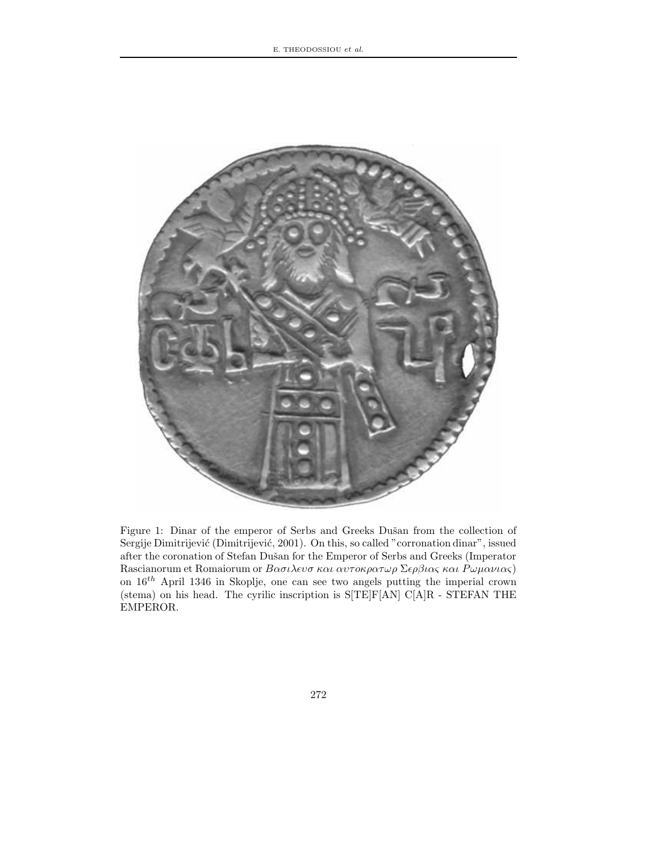

Figure 1: Dinar of the emperor of Serbs and Greeks Dušan from the collection of Sergije Dimitrijević (Dimitrijević, 2001). On this, so called "corronation dinar", issued after the coronation of Stefan Dušan for the Emperor of Serbs and Greeks (Imperator Rascianorum et Romaiorum or  $B\alpha\sigma\iota\lambda\epsilon\iota\sigma\kappa\alpha\iota\alpha\iota\sigma\kappa\rho\alpha\tau\omega\rho\Sigma\epsilon\rho\beta\iota\alpha\varsigma\kappa\alpha\iota P\omega\mu\alpha\nu\iota\alpha\varsigma)$ on  $16^{th}$  April 1346 in Skoplje, one can see two angels putting the imperial crown (stema) on his head. The cyrilic inscription is S[TE]F[AN] C[A]R - STEFAN THE EMPEROR.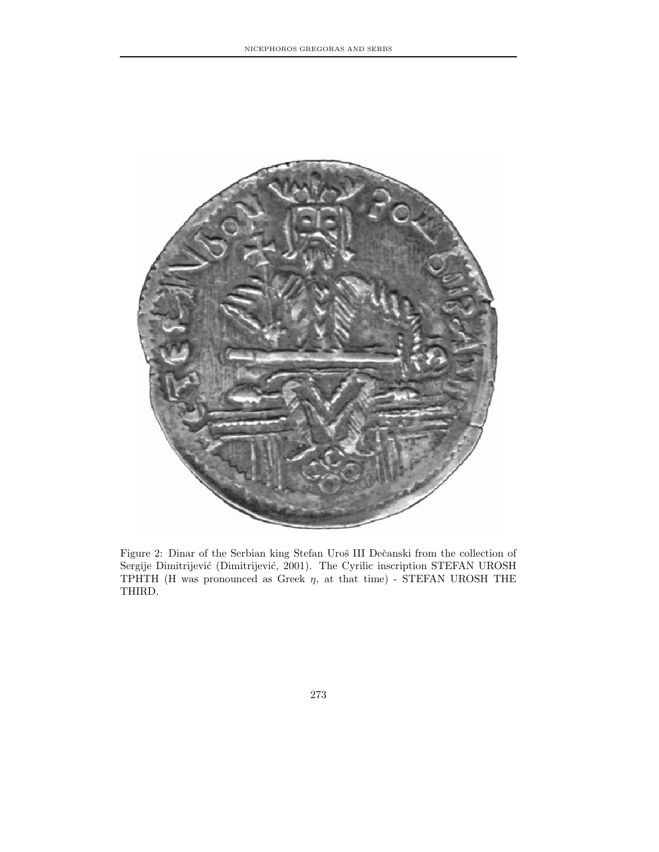

Figure 2: Dinar of the Serbian king Stefan Uroš III Dečanski from the collection of Sergije Dimitrijević (Dimitrijević, 2001). The Cyrilic inscription STEFAN UROSH TPHTH (H was pronounced as Greek  $\eta$ , at that time) - STEFAN UROSH THE THIRD.